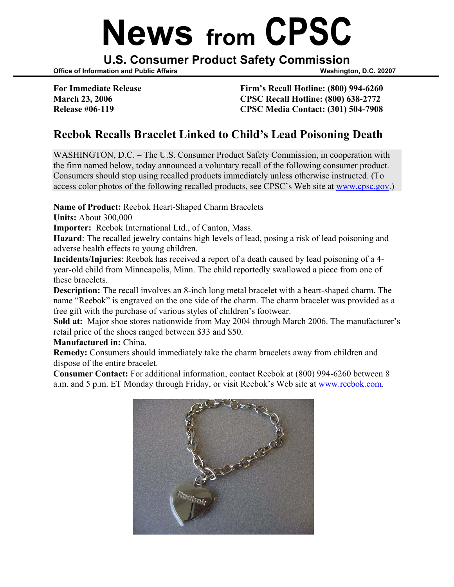## **News from CPSC**

**U.S. Consumer Product Safety Commission** 

**Office of Information and Public Affairs Washington, D.C. 20207 <br>
Washington, D.C. 20207** 

**For Immediate Release Firm's Recall Hotline: (800) 994-6260 March 23, 2006 CPSC Recall Hotline: (800) 638-2772 Release #06-119 CPSC Media Contact: (301) 504-7908** 

## **Reebok Recalls Bracelet Linked to Child's Lead Poisoning Death**

WASHINGTON, D.C. – The U.S. Consumer Product Safety Commission, in cooperation with the firm named below, today announced a voluntary recall of the following consumer product. Consumers should stop using recalled products immediately unless otherwise instructed. (To access color photos of the following recalled products, see CPSC's Web site at [www.cpsc.gov.](http://www.cpsc.gov/))

**Name of Product:** Reebok Heart-Shaped Charm Bracelets

**Units:** About 300,000

**Importer:** Reebok International Ltd., of Canton, Mass.

**Hazard**: The recalled jewelry contains high levels of lead, posing a risk of lead poisoning and adverse health effects to young children.

**Incidents/Injuries**: Reebok has received a report of a death caused by lead poisoning of a 4 year-old child from Minneapolis, Minn. The child reportedly swallowed a piece from one of these bracelets.

**Description:** The recall involves an 8-inch long metal bracelet with a heart-shaped charm. The name "Reebok" is engraved on the one side of the charm. The charm bracelet was provided as a free gift with the purchase of various styles of children's footwear.

**Sold at:** Major shoe stores nationwide from May 2004 through March 2006. The manufacturer's retail price of the shoes ranged between \$33 and \$50.

**Manufactured in:** China.

**Remedy:** Consumers should immediately take the charm bracelets away from children and dispose of the entire bracelet.

**Consumer Contact:** For additional information, contact Reebok at (800) 994-6260 between 8 a.m. and 5 p.m. ET Monday through Friday, or visit Reebok's Web site at [www.reebok.com.](http://www.xxxxxx.com/)